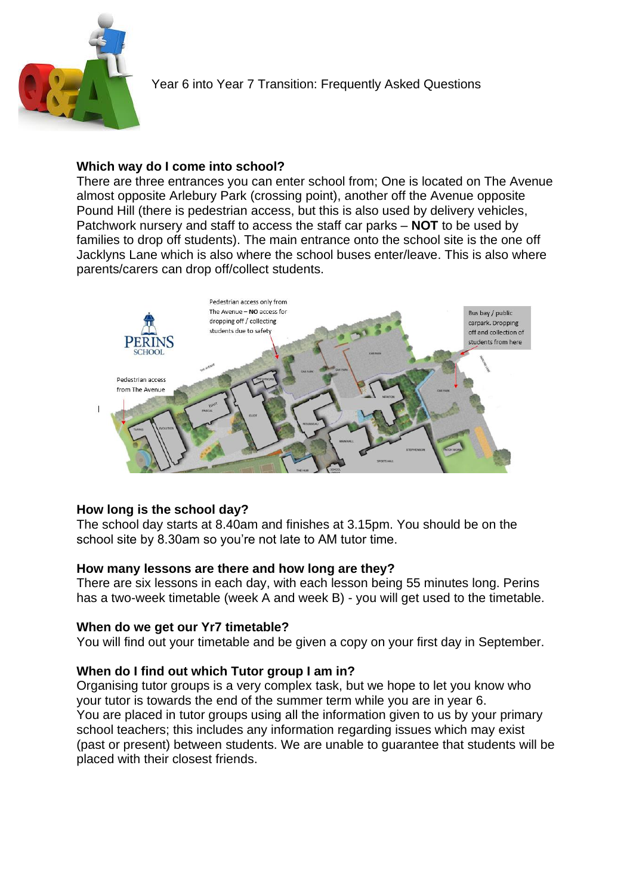

## **Which way do I come into school?**

There are three entrances you can enter school from; One is located on The Avenue almost opposite Arlebury Park (crossing point), another off the Avenue opposite Pound Hill (there is pedestrian access, but this is also used by delivery vehicles, Patchwork nursery and staff to access the staff car parks – **NOT** to be used by families to drop off students). The main entrance onto the school site is the one off Jacklyns Lane which is also where the school buses enter/leave. This is also where parents/carers can drop off/collect students.



# **How long is the school day?**

The school day starts at 8.40am and finishes at 3.15pm. You should be on the school site by 8.30am so you're not late to AM tutor time.

# **How many lessons are there and how long are they?**

There are six lessons in each day, with each lesson being 55 minutes long. Perins has a two-week timetable (week A and week B) - you will get used to the timetable.

## **When do we get our Yr7 timetable?**

You will find out your timetable and be given a copy on your first day in September.

# **When do I find out which Tutor group I am in?**

Organising tutor groups is a very complex task, but we hope to let you know who your tutor is towards the end of the summer term while you are in year 6. You are placed in tutor groups using all the information given to us by your primary school teachers; this includes any information regarding issues which may exist (past or present) between students. We are unable to guarantee that students will be placed with their closest friends.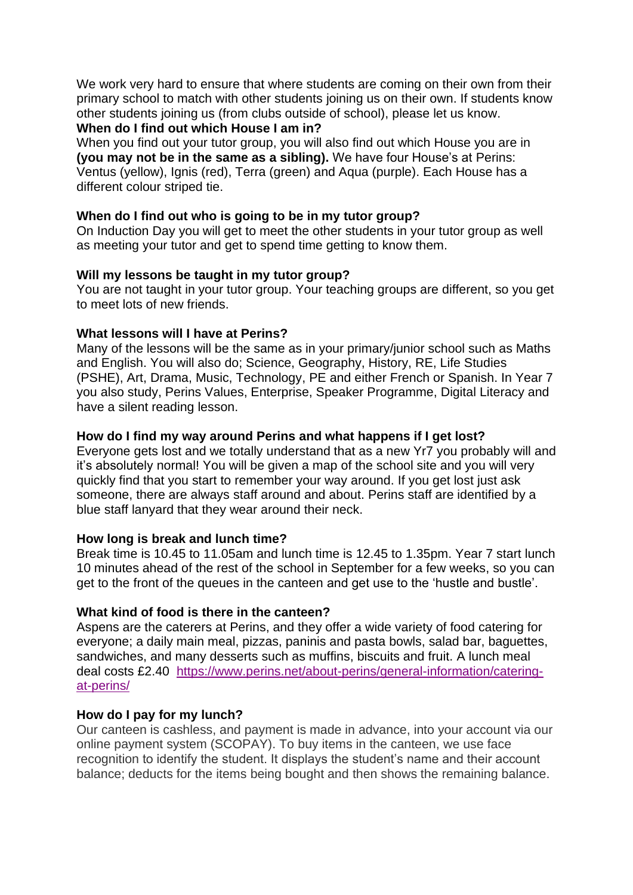We work very hard to ensure that where students are coming on their own from their primary school to match with other students joining us on their own. If students know other students joining us (from clubs outside of school), please let us know. **When do I find out which House I am in?**

When you find out your tutor group, you will also find out which House you are in **(you may not be in the same as a sibling).** We have four House's at Perins: Ventus (yellow), Ignis (red), Terra (green) and Aqua (purple). Each House has a different colour striped tie.

## **When do I find out who is going to be in my tutor group?**

On Induction Day you will get to meet the other students in your tutor group as well as meeting your tutor and get to spend time getting to know them.

## **Will my lessons be taught in my tutor group?**

You are not taught in your tutor group. Your teaching groups are different, so you get to meet lots of new friends.

#### **What lessons will I have at Perins?**

Many of the lessons will be the same as in your primary/junior school such as Maths and English. You will also do; Science, Geography, History, RE, Life Studies (PSHE), Art, Drama, Music, Technology, PE and either French or Spanish. In Year 7 you also study, Perins Values, Enterprise, Speaker Programme, Digital Literacy and have a silent reading lesson.

#### **How do I find my way around Perins and what happens if I get lost?**

Everyone gets lost and we totally understand that as a new Yr7 you probably will and it's absolutely normal! You will be given a map of the school site and you will very quickly find that you start to remember your way around. If you get lost just ask someone, there are always staff around and about. Perins staff are identified by a blue staff lanyard that they wear around their neck.

#### **How long is break and lunch time?**

Break time is 10.45 to 11.05am and lunch time is 12.45 to 1.35pm. Year 7 start lunch 10 minutes ahead of the rest of the school in September for a few weeks, so you can get to the front of the queues in the canteen and get use to the 'hustle and bustle'.

## **What kind of food is there in the canteen?**

Aspens are the caterers at Perins, and they offer a wide variety of food catering for everyone; a daily main meal, pizzas, paninis and pasta bowls, salad bar, baguettes, sandwiches, and many desserts such as muffins, biscuits and fruit. A lunch meal deal costs £2.40 [https://www.perins.net/about-perins/general-information/catering](https://www.perins.net/about-perins/general-information/catering-at-perins/)[at-perins/](https://www.perins.net/about-perins/general-information/catering-at-perins/)

## **How do I pay for my lunch?**

Our canteen is cashless, and payment is made in advance, into your account via our online payment system (SCOPAY). To buy items in the canteen, we use face recognition to identify the student. It displays the student's name and their account balance; deducts for the items being bought and then shows the remaining balance.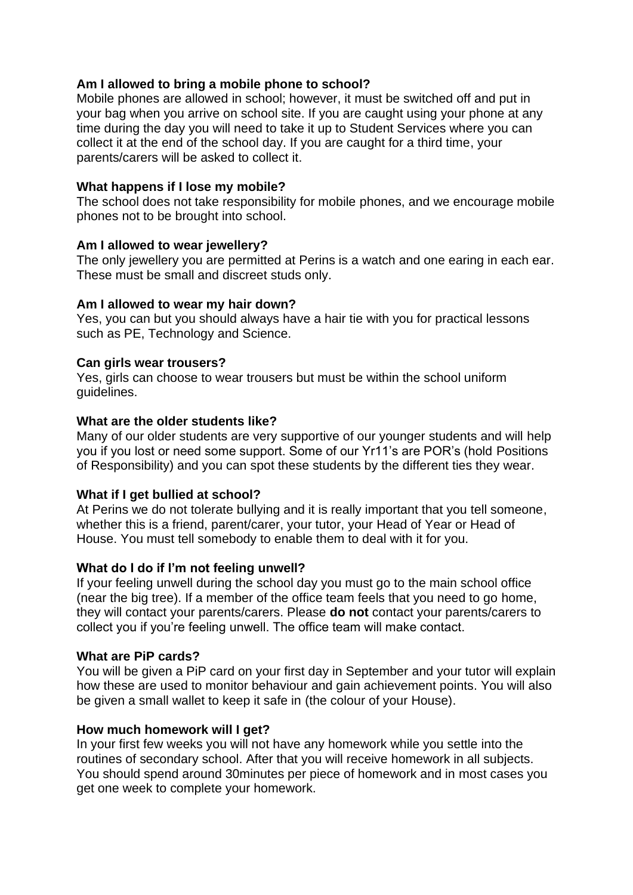## **Am I allowed to bring a mobile phone to school?**

Mobile phones are allowed in school; however, it must be switched off and put in your bag when you arrive on school site. If you are caught using your phone at any time during the day you will need to take it up to Student Services where you can collect it at the end of the school day. If you are caught for a third time, your parents/carers will be asked to collect it.

#### **What happens if I lose my mobile?**

The school does not take responsibility for mobile phones, and we encourage mobile phones not to be brought into school.

## **Am I allowed to wear jewellery?**

The only jewellery you are permitted at Perins is a watch and one earing in each ear. These must be small and discreet studs only.

#### **Am I allowed to wear my hair down?**

Yes, you can but you should always have a hair tie with you for practical lessons such as PE, Technology and Science.

#### **Can girls wear trousers?**

Yes, girls can choose to wear trousers but must be within the school uniform guidelines.

#### **What are the older students like?**

Many of our older students are very supportive of our younger students and will help you if you lost or need some support. Some of our Yr11's are POR's (hold Positions of Responsibility) and you can spot these students by the different ties they wear.

## **What if I get bullied at school?**

At Perins we do not tolerate bullying and it is really important that you tell someone, whether this is a friend, parent/carer, your tutor, your Head of Year or Head of House. You must tell somebody to enable them to deal with it for you.

## **What do I do if I'm not feeling unwell?**

If your feeling unwell during the school day you must go to the main school office (near the big tree). If a member of the office team feels that you need to go home, they will contact your parents/carers. Please **do not** contact your parents/carers to collect you if you're feeling unwell. The office team will make contact.

#### **What are PiP cards?**

You will be given a PiP card on your first day in September and your tutor will explain how these are used to monitor behaviour and gain achievement points. You will also be given a small wallet to keep it safe in (the colour of your House).

#### **How much homework will I get?**

In your first few weeks you will not have any homework while you settle into the routines of secondary school. After that you will receive homework in all subjects. You should spend around 30minutes per piece of homework and in most cases you get one week to complete your homework.